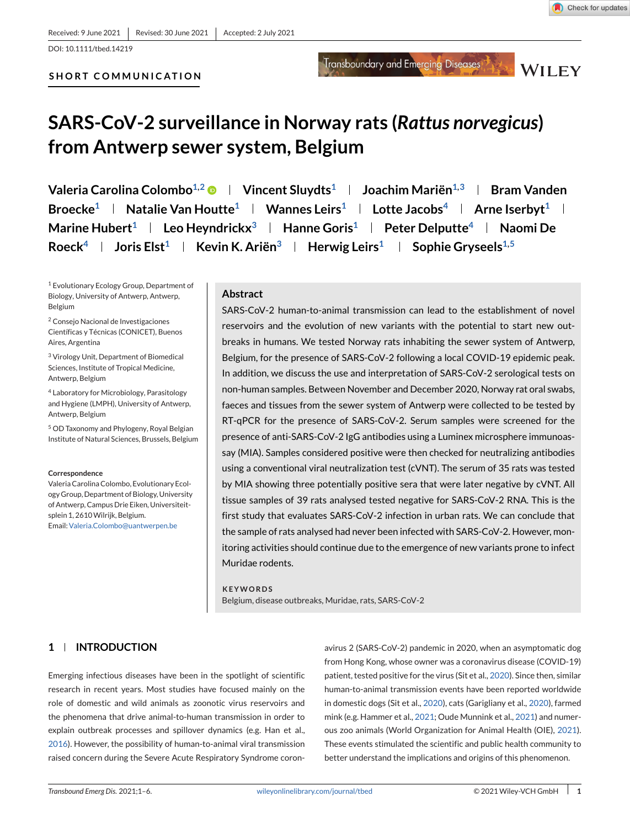**SHORT COMMUNICATION**

Check for updates

Transboundary and Emerging Diseases

**WILEY** 

# **SARS-CoV-2 surveillance in Norway rats (***Rattus norvegicus***) from Antwerp sewer system, Belgium**

**Valeria Carolina Colombo<sup>1,2</sup>**  $\bullet$  **| Vincent Sluydts<sup>1</sup> | Joachim Mariën<sup>1,3</sup> | Bram Vanden Broecke<sup>1</sup> | Natalie Van Houtte<sup>1</sup> | Wannes Leirs<sup>1</sup> | Lotte Jacobs<sup>4</sup> | Arne Iserbyt<sup>1</sup> | Marine Hubert1 Leo Heyndrickx3 Hanne Goris1 Peter Delputte4 Naomi De Roeck<sup>4</sup> | Joris Elst<sup>1</sup> | Kevin K. Ariën<sup>3</sup> | Herwig Leirs<sup>1</sup> | Sophie Gryseels<sup>1,5</sup>** 

<sup>1</sup> Evolutionary Ecology Group, Department of Biology, University of Antwerp, Antwerp, Belgium

<sup>2</sup> Consejo Nacional de Investigaciones Científicas y Técnicas (CONICET), Buenos Aires, Argentina

<sup>3</sup> Virology Unit, Department of Biomedical Sciences, Institute of Tropical Medicine, Antwerp, Belgium

<sup>4</sup> Laboratory for Microbiology, Parasitology and Hygiene (LMPH), University of Antwerp, Antwerp, Belgium

<sup>5</sup> OD Taxonomy and Phylogeny, Royal Belgian Institute of Natural Sciences, Brussels, Belgium

#### **Correspondence**

Valeria Carolina Colombo, Evolutionary Ecology Group, Department of Biology, University of Antwerp, Campus Drie Eiken, Universiteitsplein 1, 2610Wilrijk, Belgium. Email[:Valeria.Colombo@uantwerpen.be](mailto:Valeria.Colombo@uantwerpen.be)

#### **Abstract**

SARS-CoV-2 human-to-animal transmission can lead to the establishment of novel reservoirs and the evolution of new variants with the potential to start new outbreaks in humans. We tested Norway rats inhabiting the sewer system of Antwerp, Belgium, for the presence of SARS-CoV-2 following a local COVID-19 epidemic peak. In addition, we discuss the use and interpretation of SARS-CoV-2 serological tests on non-human samples. Between November and December 2020, Norway rat oral swabs, faeces and tissues from the sewer system of Antwerp were collected to be tested by RT-qPCR for the presence of SARS-CoV-2. Serum samples were screened for the presence of anti-SARS-CoV-2 IgG antibodies using a Luminex microsphere immunoassay (MIA). Samples considered positive were then checked for neutralizing antibodies using a conventional viral neutralization test (cVNT). The serum of 35 rats was tested by MIA showing three potentially positive sera that were later negative by cVNT. All tissue samples of 39 rats analysed tested negative for SARS-CoV-2 RNA. This is the first study that evaluates SARS-CoV-2 infection in urban rats. We can conclude that the sample of rats analysed had never been infected with SARS-CoV-2. However, monitoring activities should continue due to the emergence of new variants prone to infect Muridae rodents.

### **KEYWORDS**

Belgium, disease outbreaks, Muridae, rats, SARS-CoV-2

# **1 INTRODUCTION**

Emerging infectious diseases have been in the spotlight of scientific research in recent years. Most studies have focused mainly on the role of domestic and wild animals as zoonotic virus reservoirs and the phenomena that drive animal-to-human transmission in order to explain outbreak processes and spillover dynamics (e.g. Han et al., [2016\)](#page-5-0). However, the possibility of human-to-animal viral transmission raised concern during the Severe Acute Respiratory Syndrome coron-

avirus 2 (SARS-CoV-2) pandemic in 2020, when an asymptomatic dog from Hong Kong, whose owner was a coronavirus disease (COVID-19) patient, tested positive for the virus (Sit et al., [2020\)](#page-5-0). Since then, similar human-to-animal transmission events have been reported worldwide in domestic dogs (Sit et al., [2020\)](#page-5-0), cats (Garigliany et al., [2020\)](#page-4-0), farmed mink (e.g. Hammer et al., [2021;](#page-5-0) Oude Munnink et al., [2021\)](#page-5-0) and numerous zoo animals (World Organization for Animal Health (OIE), [2021\)](#page-5-0). These events stimulated the scientific and public health community to better understand the implications and origins of this phenomenon.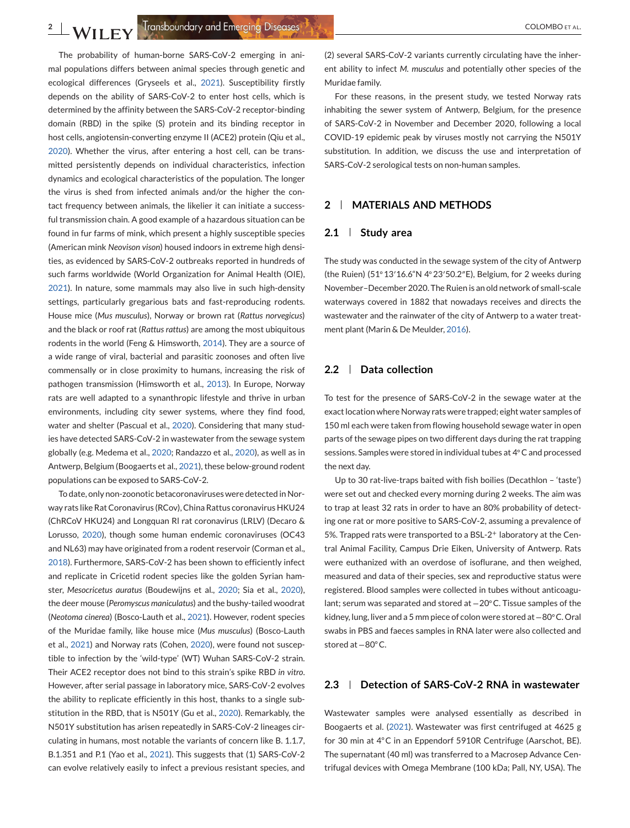The probability of human-borne SARS-CoV-2 emerging in animal populations differs between animal species through genetic and ecological differences (Gryseels et al., [2021\)](#page-5-0). Susceptibility firstly depends on the ability of SARS-CoV-2 to enter host cells, which is determined by the affinity between the SARS-CoV-2 receptor-binding domain (RBD) in the spike (S) protein and its binding receptor in host cells, angiotensin-converting enzyme II (ACE2) protein (Qiu et al., [2020\)](#page-5-0). Whether the virus, after entering a host cell, can be transmitted persistently depends on individual characteristics, infection dynamics and ecological characteristics of the population. The longer the virus is shed from infected animals and/or the higher the contact frequency between animals, the likelier it can initiate a successful transmission chain. A good example of a hazardous situation can be found in fur farms of mink, which present a highly susceptible species (American mink *Neovison vison*) housed indoors in extreme high densities, as evidenced by SARS-CoV-2 outbreaks reported in hundreds of such farms worldwide (World Organization for Animal Health (OIE), [2021\)](#page-5-0). In nature, some mammals may also live in such high-density settings, particularly gregarious bats and fast-reproducing rodents. House mice (*Mus musculus*), Norway or brown rat (*Rattus norvegicus*) and the black or roof rat (*Rattus rattus*) are among the most ubiquitous rodents in the world (Feng & Himsworth, [2014\)](#page-4-0). They are a source of a wide range of viral, bacterial and parasitic zoonoses and often live commensally or in close proximity to humans, increasing the risk of pathogen transmission (Himsworth et al., [2013\)](#page-5-0). In Europe, Norway rats are well adapted to a synanthropic lifestyle and thrive in urban environments, including city sewer systems, where they find food, water and shelter (Pascual et al., [2020\)](#page-5-0). Considering that many studies have detected SARS-CoV-2 in wastewater from the sewage system globally (e.g. Medema et al., [2020;](#page-5-0) Randazzo et al., [2020\)](#page-5-0), as well as in Antwerp, Belgium (Boogaerts et al., [2021\)](#page-4-0), these below-ground rodent populations can be exposed to SARS-CoV-2.

To date, only non-zoonotic betacoronaviruses were detected in Norway rats like Rat Coronavirus (RCov), China Rattus coronavirus HKU24 (ChRCoV HKU24) and Longquan Rl rat coronavirus (LRLV) (Decaro & Lorusso, [2020\)](#page-4-0), though some human endemic coronaviruses (OC43 and NL63) may have originated from a rodent reservoir (Corman et al., [2018\)](#page-4-0). Furthermore, SARS-CoV-2 has been shown to efficiently infect and replicate in Cricetid rodent species like the golden Syrian hamster, *Mesocricetus auratus* (Boudewijns et al., [2020;](#page-4-0) Sia et al., [2020\)](#page-5-0), the deer mouse (*Peromyscus maniculatus*) and the bushy-tailed woodrat (*Neotoma cinerea*) (Bosco-Lauth et al., [2021\)](#page-4-0). However, rodent species of the Muridae family, like house mice (*Mus musculus*) (Bosco-Lauth et al., [2021\)](#page-4-0) and Norway rats (Cohen, [2020\)](#page-4-0), were found not susceptible to infection by the 'wild-type' (WT) Wuhan SARS-CoV-2 strain. Their ACE2 receptor does not bind to this strain's spike RBD *in vitro*. However, after serial passage in laboratory mice, SARS-CoV-2 evolves the ability to replicate efficiently in this host, thanks to a single substitution in the RBD, that is N501Y (Gu et al., [2020\)](#page-5-0). Remarkably, the N501Y substitution has arisen repeatedly in SARS-CoV-2 lineages circulating in humans, most notable the variants of concern like B. 1.1.7, B.1.351 and P.1 (Yao et al., [2021\)](#page-5-0). This suggests that (1) SARS-CoV-2 can evolve relatively easily to infect a previous resistant species, and

(2) several SARS-CoV-2 variants currently circulating have the inherent ability to infect *M. musculus* and potentially other species of the Muridae family.

For these reasons, in the present study, we tested Norway rats inhabiting the sewer system of Antwerp, Belgium, for the presence of SARS-CoV-2 in November and December 2020, following a local COVID-19 epidemic peak by viruses mostly not carrying the N501Y substitution. In addition, we discuss the use and interpretation of SARS-CoV-2 serological tests on non-human samples.

# **2 MATERIALS AND METHODS**

#### **2.1 Study area**

The study was conducted in the sewage system of the city of Antwerp (the Ruien) (51◦13′16.6"N 4◦23′50.2″E), Belgium, for 2 weeks during November–December 2020. The Ruien is an old network of small-scale waterways covered in 1882 that nowadays receives and directs the wastewater and the rainwater of the city of Antwerp to a water treatment plant (Marin & De Meulder, [2016\)](#page-5-0).

### **2.2 Data collection**

To test for the presence of SARS-CoV-2 in the sewage water at the exact location where Norway rats were trapped; eight water samples of 150 ml each were taken from flowing household sewage water in open parts of the sewage pipes on two different days during the rat trapping sessions. Samples were stored in individual tubes at 4◦C and processed the next day.

Up to 30 rat-live-traps baited with fish boilies (Decathlon – 'taste') were set out and checked every morning during 2 weeks. The aim was to trap at least 32 rats in order to have an 80% probability of detecting one rat or more positive to SARS-CoV-2, assuming a prevalence of 5%. Trapped rats were transported to a BSL-2<sup>+</sup> laboratory at the Central Animal Facility, Campus Drie Eiken, University of Antwerp. Rats were euthanized with an overdose of isoflurane, and then weighed, measured and data of their species, sex and reproductive status were registered. Blood samples were collected in tubes without anticoagulant; serum was separated and stored at −20◦C. Tissue samples of the kidney, lung, liver and a 5 mm piece of colon were stored at −80◦C. Oral swabs in PBS and faeces samples in RNA later were also collected and stored at −80◦C.

# **2.3 Detection of SARS-CoV-2 RNA in wastewater**

Wastewater samples were analysed essentially as described in Boogaerts et al. [\(2021\)](#page-4-0). Wastewater was first centrifuged at 4625 g for 30 min at 4◦C in an Eppendorf 5910R Centrifuge (Aarschot, BE). The supernatant (40 ml) was transferred to a Macrosep Advance Centrifugal devices with Omega Membrane (100 kDa; Pall, NY, USA). The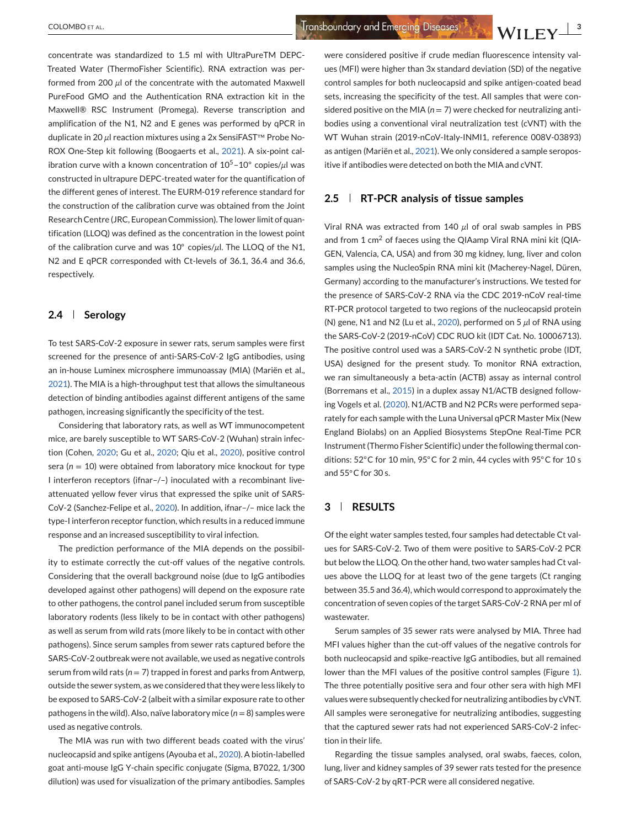concentrate was standardized to 1.5 ml with UltraPureTM DEPC-Treated Water (ThermoFisher Scientific). RNA extraction was performed from 200 *µ*l of the concentrate with the automated Maxwell PureFood GMO and the Authentication RNA extraction kit in the Maxwell® RSC Instrument (Promega). Reverse transcription and amplification of the N1, N2 and E genes was performed by qPCR in duplicate in 20 *µ*l reaction mixtures using a 2x SensiFAST™ Probe No-ROX One-Step kit following (Boogaerts et al., [2021\)](#page-4-0). A six-point calibration curve with a known concentration of 105–10◦ copies/*µ*l was constructed in ultrapure DEPC-treated water for the quantification of the different genes of interest. The EURM-019 reference standard for the construction of the calibration curve was obtained from the Joint Research Centre (JRC, European Commission). The lower limit of quantification (LLOQ) was defined as the concentration in the lowest point of the calibration curve and was 10◦ copies/*µ*l. The LLOQ of the N1, N2 and E qPCR corresponded with Ct-levels of 36.1, 36.4 and 36.6, respectively.

# **2.4 Serology**

To test SARS-CoV-2 exposure in sewer rats, serum samples were first screened for the presence of anti-SARS-CoV-2 IgG antibodies, using an in-house Luminex microsphere immunoassay (MIA) (Mariën et al., [2021\)](#page-5-0). The MIA is a high-throughput test that allows the simultaneous detection of binding antibodies against different antigens of the same pathogen, increasing significantly the specificity of the test.

Considering that laboratory rats, as well as WT immunocompetent mice, are barely susceptible to WT SARS-CoV-2 (Wuhan) strain infection (Cohen, [2020;](#page-4-0) Gu et al., [2020;](#page-5-0) Qiu et al., [2020\)](#page-5-0), positive control sera ( $n = 10$ ) were obtained from laboratory mice knockout for type I interferon receptors (ifnar–/–) inoculated with a recombinant liveattenuated yellow fever virus that expressed the spike unit of SARS-CoV-2 (Sanchez-Felipe et al., [2020\)](#page-5-0). In addition, ifnar–/– mice lack the type-I interferon receptor function, which results in a reduced immune response and an increased susceptibility to viral infection.

The prediction performance of the MIA depends on the possibility to estimate correctly the cut-off values of the negative controls. Considering that the overall background noise (due to IgG antibodies developed against other pathogens) will depend on the exposure rate to other pathogens, the control panel included serum from susceptible laboratory rodents (less likely to be in contact with other pathogens) as well as serum from wild rats (more likely to be in contact with other pathogens). Since serum samples from sewer rats captured before the SARS-CoV-2 outbreak were not available, we used as negative controls serum from wild rats ( $n = 7$ ) trapped in forest and parks from Antwerp, outside the sewer system, as we considered that they were less likely to be exposed to SARS-CoV-2 (albeit with a similar exposure rate to other pathogens in the wild). Also, naïve laboratory mice  $(n = 8)$  samples were used as negative controls.

The MIA was run with two different beads coated with the virus' nucleocapsid and spike antigens (Ayouba et al., [2020\)](#page-4-0). A biotin-labelled goat anti-mouse IgG Y-chain specific conjugate (Sigma, B7022, 1/300 dilution) was used for visualization of the primary antibodies. Samples

were considered positive if crude median fluorescence intensity values (MFI) were higher than 3x standard deviation (SD) of the negative control samples for both nucleocapsid and spike antigen-coated bead sets, increasing the specificity of the test. All samples that were considered positive on the MIA ( $n = 7$ ) were checked for neutralizing antibodies using a conventional viral neutralization test (cVNT) with the WT Wuhan strain (2019-nCoV-Italy-INMI1, reference 008V-03893) as antigen (Mariën et al., [2021\)](#page-5-0). We only considered a sample seropositive if antibodies were detected on both the MIA and cVNT.

## **2.5 RT-PCR analysis of tissue samples**

Viral RNA was extracted from 140 *µ*l of oral swab samples in PBS and from 1  $\text{cm}^2$  of faeces using the QIAamp Viral RNA mini kit (QIA-GEN, Valencia, CA, USA) and from 30 mg kidney, lung, liver and colon samples using the NucleoSpin RNA mini kit (Macherey-Nagel, Düren, Germany) according to the manufacturer's instructions. We tested for the presence of SARS-CoV-2 RNA via the CDC 2019-nCoV real-time RT-PCR protocol targeted to two regions of the nucleocapsid protein (N) gene, N1 and N2 (Lu et al., [2020\)](#page-5-0), performed on 5 *µ*l of RNA using the SARS-CoV-2 (2019-nCoV) CDC RUO kit (IDT Cat. No. 10006713). The positive control used was a SARS-CoV-2 N synthetic probe (IDT, USA) designed for the present study. To monitor RNA extraction, we ran simultaneously a beta-actin (ACTB) assay as internal control (Borremans et al., [2015\)](#page-4-0) in a duplex assay N1/ACTB designed following Vogels et al. [\(2020\)](#page-5-0). N1/ACTB and N2 PCRs were performed separately for each sample with the Luna Universal qPCR Master Mix (New England Biolabs) on an Applied Biosystems StepOne Real-Time PCR Instrument (Thermo Fisher Scientific) under the following thermal conditions: 52◦C for 10 min, 95◦C for 2 min, 44 cycles with 95◦C for 10 s and 55°C for 30 s.

# **3 RESULTS**

Of the eight water samples tested, four samples had detectable Ct values for SARS-CoV-2. Two of them were positive to SARS-CoV-2 PCR but below the LLOQ. On the other hand, two water samples had Ct values above the LLOQ for at least two of the gene targets (Ct ranging between 35.5 and 36.4), which would correspond to approximately the concentration of seven copies of the target SARS-CoV-2 RNA per ml of wastewater.

Serum samples of 35 sewer rats were analysed by MIA. Three had MFI values higher than the cut-off values of the negative controls for both nucleocapsid and spike-reactive IgG antibodies, but all remained lower than the MFI values of the positive control samples (Figure [1\)](#page-3-0). The three potentially positive sera and four other sera with high MFI values were subsequently checked for neutralizing antibodies by cVNT. All samples were seronegative for neutralizing antibodies, suggesting that the captured sewer rats had not experienced SARS-CoV-2 infection in their life.

Regarding the tissue samples analysed, oral swabs, faeces, colon, lung, liver and kidney samples of 39 sewer rats tested for the presence of SARS-CoV-2 by qRT-PCR were all considered negative.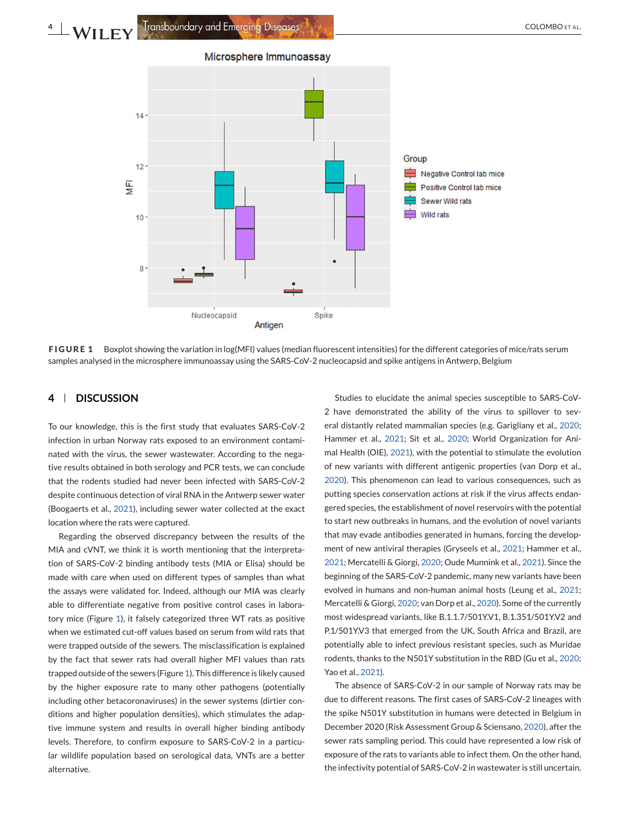Microsphere Immunoassay

<span id="page-3-0"></span>

**FIGURE 1** Boxplot showing the variation in log(MFI) values (median fluorescent intensities) for the different categories of mice/rats serum samples analysed in the microsphere immunoassay using the SARS-CoV-2 nucleocapsid and spike antigens in Antwerp, Belgium

# **4 DISCUSSION**

To our knowledge, this is the first study that evaluates SARS-CoV-2 infection in urban Norway rats exposed to an environment contaminated with the virus, the sewer wastewater. According to the negative results obtained in both serology and PCR tests, we can conclude that the rodents studied had never been infected with SARS-CoV-2 despite continuous detection of viral RNA in the Antwerp sewer water (Boogaerts et al., [2021\)](#page-4-0), including sewer water collected at the exact location where the rats were captured.

Regarding the observed discrepancy between the results of the MIA and cVNT, we think it is worth mentioning that the interpretation of SARS-CoV-2 binding antibody tests (MIA or Elisa) should be made with care when used on different types of samples than what the assays were validated for. Indeed, although our MIA was clearly able to differentiate negative from positive control cases in laboratory mice (Figure 1), it falsely categorized three WT rats as positive when we estimated cut-off values based on serum from wild rats that were trapped outside of the sewers. The misclassification is explained by the fact that sewer rats had overall higher MFI values than rats trapped outside of the sewers (Figure 1). This difference is likely caused by the higher exposure rate to many other pathogens (potentially including other betacoronaviruses) in the sewer systems (dirtier conditions and higher population densities), which stimulates the adaptive immune system and results in overall higher binding antibody levels. Therefore, to confirm exposure to SARS-CoV-2 in a particular wildlife population based on serological data, VNTs are a better alternative.

Studies to elucidate the animal species susceptible to SARS-CoV-2 have demonstrated the ability of the virus to spillover to several distantly related mammalian species (e.g. Garigliany et al., [2020;](#page-4-0) Hammer et al., [2021;](#page-5-0) Sit et al., [2020;](#page-5-0) World Organization for Animal Health (OIE), [2021\)](#page-5-0), with the potential to stimulate the evolution of new variants with different antigenic properties (van Dorp et al., [2020\)](#page-5-0). This phenomenon can lead to various consequences, such as putting species conservation actions at risk if the virus affects endangered species, the establishment of novel reservoirs with the potential to start new outbreaks in humans, and the evolution of novel variants that may evade antibodies generated in humans, forcing the development of new antiviral therapies (Gryseels et al., [2021;](#page-5-0) Hammer et al., [2021;](#page-5-0) Mercatelli & Giorgi, [2020;](#page-5-0) Oude Munnink et al., [2021\)](#page-5-0). Since the beginning of the SARS-CoV-2 pandemic, many new variants have been evolved in humans and non-human animal hosts (Leung et al., [2021;](#page-5-0) Mercatelli & Giorgi, [2020;](#page-5-0) van Dorp et al., [2020\)](#page-5-0). Some of the currently most widespread variants, like B.1.1.7/501Y.V1, B.1.351/501Y.V2 and P.1/501Y.V3 that emerged from the UK, South Africa and Brazil, are potentially able to infect previous resistant species, such as Muridae rodents, thanks to the N501Y substitution in the RBD (Gu et al., [2020;](#page-5-0) Yao et al., [2021\)](#page-5-0).

The absence of SARS-CoV-2 in our sample of Norway rats may be due to different reasons. The first cases of SARS-CoV-2 lineages with the spike N501Y substitution in humans were detected in Belgium in December 2020 (Risk Assessment Group & Sciensano, [2020\)](#page-5-0), after the sewer rats sampling period. This could have represented a low risk of exposure of the rats to variants able to infect them. On the other hand, the infectivity potential of SARS-CoV-2 in wastewater is still uncertain.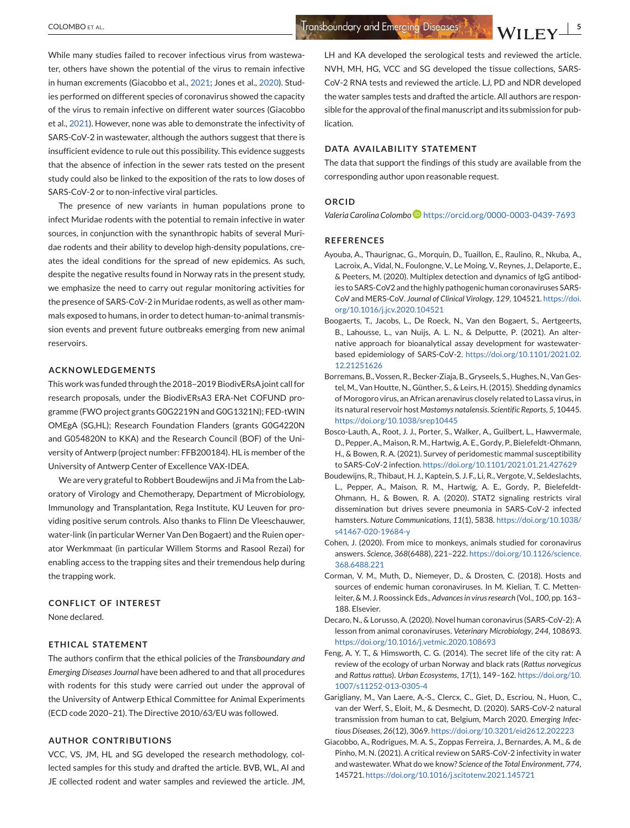<span id="page-4-0"></span>While many studies failed to recover infectious virus from wastewater, others have shown the potential of the virus to remain infective in human excrements (Giacobbo et al., 2021; Jones et al., [2020\)](#page-5-0). Studies performed on different species of coronavirus showed the capacity of the virus to remain infective on different water sources (Giacobbo et al., 2021). However, none was able to demonstrate the infectivity of SARS-CoV-2 in wastewater, although the authors suggest that there is insufficient evidence to rule out this possibility. This evidence suggests that the absence of infection in the sewer rats tested on the present study could also be linked to the exposition of the rats to low doses of SARS-CoV-2 or to non-infective viral particles.

The presence of new variants in human populations prone to infect Muridae rodents with the potential to remain infective in water sources, in conjunction with the synanthropic habits of several Muridae rodents and their ability to develop high-density populations, creates the ideal conditions for the spread of new epidemics. As such, despite the negative results found in Norway rats in the present study, we emphasize the need to carry out regular monitoring activities for the presence of SARS-CoV-2 in Muridae rodents, as well as other mammals exposed to humans, in order to detect human-to-animal transmission events and prevent future outbreaks emerging from new animal reservoirs.

## **ACKNOWLEDGEMENTS**

This work was funded through the 2018–2019 BiodivERsA joint call for research proposals, under the BiodivERsA3 ERA-Net COFUND programme (FWO project grants G0G2219N and G0G1321N); FED-tWIN OMEgA (SG,HL); Research Foundation Flanders (grants G0G4220N and G054820N to KKA) and the Research Council (BOF) of the University of Antwerp (project number: FFB200184). HL is member of the University of Antwerp Center of Excellence VAX-IDEA.

We are very grateful to Robbert Boudewijns and Ji Ma from the Laboratory of Virology and Chemotherapy, Department of Microbiology, Immunology and Transplantation, Rega Institute, KU Leuven for providing positive serum controls. Also thanks to Flinn De Vleeschauwer, water-link (in particular Werner Van Den Bogaert) and the Ruien operator Werkmmaat (in particular Willem Storms and Rasool Rezai) for enabling access to the trapping sites and their tremendous help during the trapping work.

#### **CONFLICT OF INTEREST**

None declared.

#### **ETHICAL STATEMENT**

The authors confirm that the ethical policies of the *Transboundary and Emerging Diseases Journal* have been adhered to and that all procedures with rodents for this study were carried out under the approval of the University of Antwerp Ethical Committee for Animal Experiments (ECD code 2020–21). The Directive 2010/63/EU was followed.

## **AUTHOR CONTRIBUTIONS**

VCC, VS, JM, HL and SG developed the research methodology, collected samples for this study and drafted the article. BVB, WL, AI and JE collected rodent and water samples and reviewed the article. JM, LH and KA developed the serological tests and reviewed the article. NVH, MH, HG, VCC and SG developed the tissue collections, SARS-CoV-2 RNA tests and reviewed the article. LJ, PD and NDR developed the water samples tests and drafted the article. All authors are responsible for the approval of the final manuscript and its submission for publication.

#### **DATA AVAILABILITY STATEMENT**

The data that support the findings of this study are available from the corresponding author upon reasonable request.

#### **ORCID**

*Valeria Carolina Colombo* <https://orcid.org/0000-0003-0439-7693>

#### **REFERENCES**

- Ayouba, A., Thaurignac, G., Morquin, D., Tuaillon, E., Raulino, R., Nkuba, A., Lacroix, A., Vidal, N., Foulongne, V., Le Moing, V., Reynes, J., Delaporte, E., & Peeters, M. (2020). Multiplex detection and dynamics of IgG antibodies to SARS-CoV2 and the highly pathogenic human coronaviruses SARS-CoV and MERS-CoV. *Journal of Clinical Virology*, *129*, 104521. [https://doi.](https://doi.org/10.1016/j.jcv.2020.104521) [org/10.1016/j.jcv.2020.104521](https://doi.org/10.1016/j.jcv.2020.104521)
- Boogaerts, T., Jacobs, L., De Roeck, N., Van den Bogaert, S., Aertgeerts, B., Lahousse, L., van Nuijs, A. L. N., & Delputte, P. (2021). An alternative approach for bioanalytical assay development for wastewaterbased epidemiology of SARS-CoV-2. [https://doi.org/10.1101/2021.02.](https://doi.org/10.1101/2021.02.12.21251626) [12.21251626](https://doi.org/10.1101/2021.02.12.21251626)
- Borremans, B., Vossen, R., Becker-Ziaja, B., Gryseels, S., Hughes, N., Van Gestel, M., Van Houtte, N., Günther, S., & Leirs, H. (2015). Shedding dynamics of Morogoro virus, an African arenavirus closely related to Lassa virus, in its natural reservoir host *Mastomys natalensis*. *Scientific Reports*, *5*, 10445. <https://doi.org/10.1038/srep10445>
- Bosco-Lauth, A., Root, J. J., Porter, S., Walker, A., Guilbert, L., Hawvermale, D., Pepper, A., Maison, R. M., Hartwig, A. E., Gordy, P., Bielefeldt-Ohmann, H., & Bowen, R. A. (2021). Survey of peridomestic mammal susceptibility to SARS-CoV-2 infection. <https://doi.org/10.1101/2021.01.21.427629>
- Boudewijns, R., Thibaut, H. J., Kaptein, S. J. F., Li, R., Vergote, V., Seldeslachts, L., Pepper, A., Maison, R. M., Hartwig, A. E., Gordy, P., Bielefeldt-Ohmann, H., & Bowen, R. A. (2020). STAT2 signaling restricts viral dissemination but drives severe pneumonia in SARS-CoV-2 infected hamsters. *Nature Communications*, *11*(1), 5838. [https://doi.org/10.1038/](https://doi.org/10.1038/s41467-020-19684-y) [s41467-020-19684-y](https://doi.org/10.1038/s41467-020-19684-y)
- Cohen, J. (2020). From mice to monkeys, animals studied for coronavirus answers. *Science*, *368*(6488), 221–222. [https://doi.org/10.1126/science.](https://doi.org/10.1126/science.368.6488.221) [368.6488.221](https://doi.org/10.1126/science.368.6488.221)
- Corman, V. M., Muth, D., Niemeyer, D., & Drosten, C. (2018). Hosts and sources of endemic human coronaviruses. In M. Kielian, T. C. Mettenleiter, &M. J. Roossinck Eds.,*Advances in virus research* (Vol., *100*, pp. 163– 188. Elsevier.
- Decaro, N., & Lorusso, A. (2020). Novel human coronavirus (SARS-CoV-2): A lesson from animal coronaviruses. *Veterinary Microbiology*, *244*, 108693. <https://doi.org/10.1016/j.vetmic.2020.108693>
- Feng, A. Y. T., & Himsworth, C. G. (2014). The secret life of the city rat: A review of the ecology of urban Norway and black rats (*Rattus norvegicus* and *Rattus rattus*). *Urban Ecosystems*, *17*(1), 149–162. [https://doi.org/10.](https://doi.org/10.1007/s11252-013-0305-4) [1007/s11252-013-0305-4](https://doi.org/10.1007/s11252-013-0305-4)
- Garigliany, M., Van Laere, A.-S., Clercx, C., Giet, D., Escriou, N., Huon, C., van der Werf, S., Eloit, M., & Desmecht, D. (2020). SARS-CoV-2 natural transmission from human to cat, Belgium, March 2020. *Emerging Infectious Diseases*, *26*(12), 3069. <https://doi.org/10.3201/eid2612.202223>
- Giacobbo, A., Rodrigues, M. A. S., Zoppas Ferreira, J., Bernardes, A. M., & de Pinho, M. N. (2021). A critical review on SARS-CoV-2 infectivity in water and wastewater. What do we know? *Science of the Total Environment*, *774*, 145721. <https://doi.org/10.1016/j.scitotenv.2021.145721>